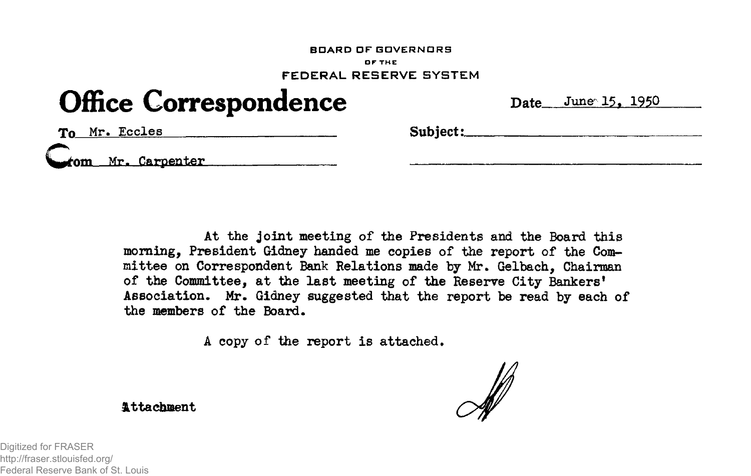## **BDAR D D F GOVERNOR S OF THE FEDERA L RESERV E SYSTE M**

## **Office Correspondence** Date June 15, 1950

To Mr. Eccles **Subject:** 

**Carpenter** 

At the joint meeting of the Presidents and the Board this **morning, President Gidney handed me copies of the report of the Committee on Correspondent Bank Relations made by Mr. Gelbach, Chairman of the Committee, at the last meeting of the Reserve City Bankers<sup>1</sup> Association. Mr. Gidney suggested that the report be read by each of the members of the Board.** 

**A copy of the report i s attached.** 

**Attachment** 

Digitized for FRASER http://fraser.stlouisfed.org/ Federal Reserve Bank of St. Louis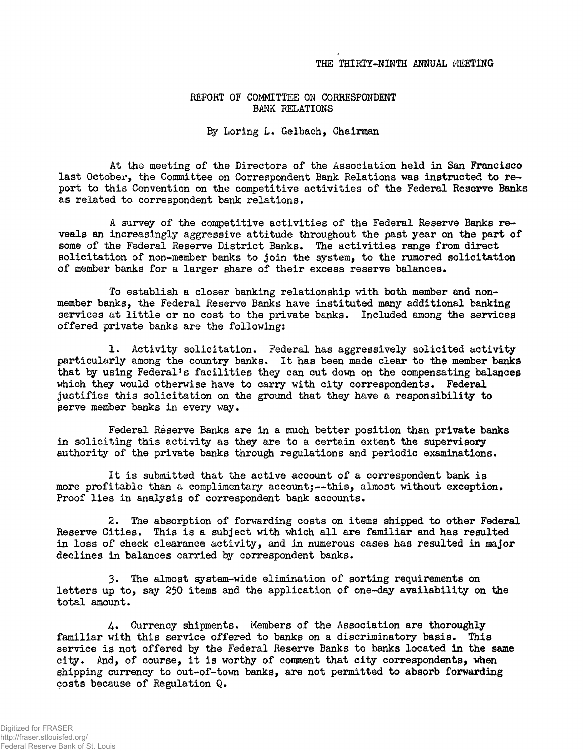## **REFORT OF COMMITTEE ON CORRESPONDENT BANK RELATIONS**

**3y Loring L. Gelbach, Chairman** 

**At the meeting of the Directors of the Association held i n San Francisco last October, the Committee on Correspondent Bank Relations was instructed to report to thi s Convention on the competitive activities of the Federal Reserve Banks**  as related to correspondent bank relations.

**A survey of the competitive activities of the Federal Reserve Banks re**veals an increasingly aggressive attitude throughout the past year on the part of **some of the Federal Reserve District Banks. The activities range from direct**  solicitation of non-member banks to join the system, to the rumored solicitation **of member banks for a larger share of their excess reserve balances.** 

**To establish a closer banking relationship with both member and non**member banks, the Federal Reserve Banks have instituted many additional banking services at little or no cost to the private banks. Included among the services **offered private banks are the following:** 

1. Activity solicitation. Federal has aggressively solicited activity **particularl y among the country banks. I t has been made clear to tho member banks that by using Federal's facilities they can cut down on the compensating balances which they would otherwise have to carxy with cit y correspondents. Federal justifies thi s solicitatio n on the ground that they have a responsibility to**  serve member banks in every way.

**Federal Reserve Banks are i n a much better position than private banks i n solicitin g thi s activit y as they are to a certain extent the supervisory authority of the private banks through regulations and periodic examinations.** 

**I t i s submitted that the active account of a correspondent bank i s**  more profitable than a complimentary account;--this, almost without exception. **Proof lies** *in* **analysis of correspondent bank accounts.** 

**2. The absorption of forwarding costs on items shipped to other Federal**  Reserve Cities. This is a subject with which all are familiar and has resulted **i n loss of check clearance activity, and in numerous cases has resulted i n major declines i n balances carried by correspondent banks.** 

**3. The almost system-wide elimination of sorting requirements on**  letters up to, say 250 items and the application of one-day availability on the **total amount.** 

**U\* Currency shipments. Members of the Association are thoroughly**  familiar with this service offered to banks on a discriminatory basis. This **service i s not offered by the Federal Reserve Banks to banks located i n the same city. And, of course, i t i s worthy of comment that cit y correspondents, when shipping currency to out-of-town banks, are not permitted to absorb forwarding costs because of Regulation Q.**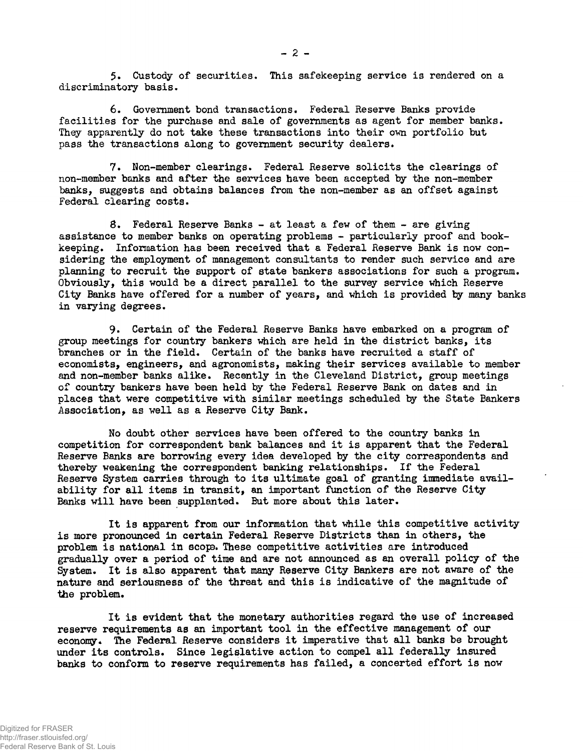**5. Custody of securities. This safekeeping service i s rendered on a discriminatory basis.** 

**6. Government bond transactions. Federal Reserve Banks provide facilities for the purchase and sale of governments as agent for member banks. They apparently do not take these transactions into their own portfolio but**  pass the transactions along to government security dealers.

7. Non-member clearings. Federal Reserve solicits the clearings of **non-member banks and after the services have been accepted by the non-member banks, suggests and obtains balances from the non-member as an offset against Federal clearing costs.** 

**8. Federal Reserve Banks - at least a few of them - are giving**  assistance to member banks on operating problems - particularly proof and bookkeeping. Information has been received that a Federal Reserve Bank is now con**sidering the employment of management consultants to render such service and are planning to recruit the support of state bankers associations for such a program.**  Obviously, this would be a direct parallel to the survey service which Reserve **City Banks have offered for a number of years, and which i s provided by many banks in varying degrees.** 

**9. Certain of the Federal Reserve Banks have embarked on a program of**  group meetings for country bankers which are held in the district banks, its **branches or i n the field . Certain of the banks have recruited a staff of economists, engineers, and agronomists, making their services available to member**  and non-member banks alike. Recently in the Cleveland District, group meetings of country bankers have been held by the Federal Reserve Bank on dates and in **places that were competitive with similar meetings scheduled by the State Bankers Association, as well as a Reserve City Bank.** 

No doubt other services have been offered to the country banks in competition for correspondent bank balances and it is apparent that the Federal Reserve Banks are borrowing every idea developed by the city correspondents and thereby weakening the correspondent banking relationships. If the Federal Reserve System carries through to its ultimate goal of granting immediate availability for all items in transit, an important function of the Reserve City Banks will have been supplanted. But more about this later.

It is apparent from our information that while this competitive activity **i s more pronounced i n certain Federal Reserve District s than i n others, the problem i s national i n scope. These competitive activities are introduced gradually over a period of time and are not announced as an overall policy of the**  System. It is also apparent that many Reserve City Bankers are not aware of the **nature and seriousness of the threat and thi s i s indicative of the magnitude of the problem.** 

**I t i s evident that the monetary authorities regard the use of increased reserve requirements as an important tool in the effective management of our economy. The Federal Reserve considers i t imperative that al l banks be brought**  under its controls. Since legislative action to compel all federally insured banks to conform to reserve requirements has failed, a concerted effort is now

**- 2 -**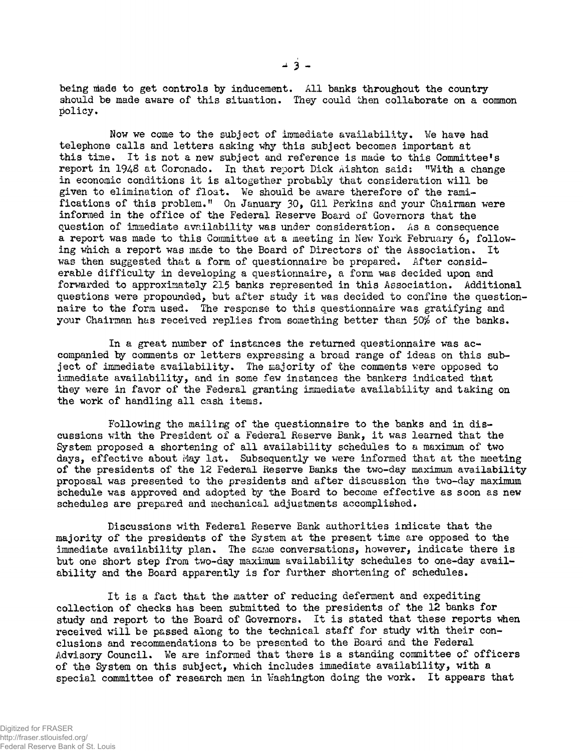**being ntade to get controls by inducement. All banks throughout the country**  should be made aware of this situation. They could then collaborate on a common **policy.** 

**Now we come to the subject of immediate availability. We have had telephone call s and letter s asking why thi s subject becomes important at thi s time. I t i s not a new subject and reference i s made to thi s Committee<sup>f</sup> s report i n 1943 at Coronado. In that report Dick Aishton said: "With a change i n economic conditions i t i s altogether probably that consideration wil l be given to elimination of float . We should be aware therefore of the rami**fications of this problem." On January 30, Gil Perkins and your Chairman were **informed in the office of the Federal Reserve Board of Governors that the**  question of immediate availability was under consideration. As a consequence a report was made to this Committee at a meeting in New York February 6, following which a report was made to the Board of Directors of the Association. It **was then suggested that a form of questionnaire be prepared. After considerable difficult y in developing a questionnaire, a form was decided upon and**  forwarded to approximately 215 banks represented in this Association. Additional **questions were propounded, but after study i t was decided to confine the questionnaire to the form used. The response to this questionnaire was gratifying and your Chairman has received replies from something better than 50% of the banks.** 

**I n a great number of instances the returned questionnaire was ac**companied by comments or letters expressing a broad range of ideas on this sub**ject of immediate availability. The majority of the comments were opposed to immediate availability, and i n some few instances the bankers indicated that**  they were in favor of the Federal granting immediate availability and taking on the work of handling all cash items.

Following the mailing of the questionnaire to the banks and in dis**cussions with the President of a Federal Reserve Bank, i t was learned that the**  System proposed a shortening of all availability schedules to a maximum of two **days, effective about May 1st, Subsequently we were informed that at the meeting**  of the presidents of the 12 Federal Reserve Banks the two-day maximum availability **proposal was presented to the presidents and after discussion the two-day maximum schedule was approved and adopted by the Board to become effective as soon as new schedules are prepared and mechanical adjustments accomplished.** 

**Discussions with Federal Reserve Bank authorities indicate that the majority of the presidents of the System at the present time are opposed to the**  immediate availability plan. The same conversations, however, indicate there is but one short step from two-day maximum availability schedules to one-day avail**abilit y and the Board apparently i s for further shortening of schedules.** 

**I t i s a fact that the matter of reducing deferment and expediting collection of checks has been submitted to the presidents of the 12 banks for**  study and report to the Board of Governors. It is stated that these reports when received will be passed along to the technical staff for study with their con**clusions and recommendations to be presented to the Board and the Federal Advisory Council. We are informed that there i s a standing committee of officer s**  of the System on this subject, which includes immediate availability, with a special committee of research men in Washington doing the work. It appears that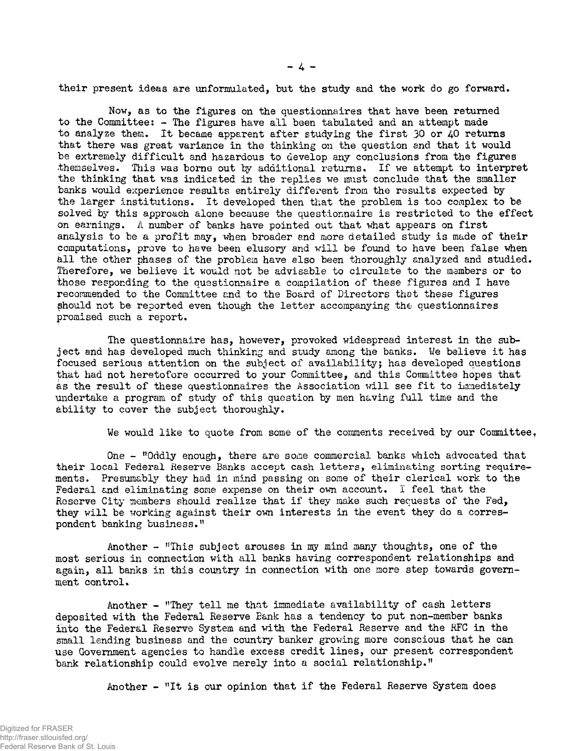their present ideas are unformulated, but the study and the work do go forward.

**Now, as to the figures on the questionnaires that have been returned to the Committee: - The figures have al l been tabulated and an attempt made**  to analyze them. It became apparent after studying the first 30 or 40 returns **that there was great variance i n the thinking on the question and that i t would**  be extremely difficult and hazardous to develop any conclusions from the figures themselves. This was borne out by additional returns. If we attempt to interpret the thinking that was indicated in the replies we must conclude that the smaller **banks would experience results entirel y differen t from the results expected by**  the larger institutions. It developed then that the problem is too complex to be solved by this approach alone because the questionnaire is restricted to the effect on earnings. A number of banks have pointed out that what appears on first analysis to be a profit may, when broader and more detailed study is made of their computations, prove to have been elusory and will be found to have been false when all the other phases of the problem have also been thoroughly analyzed and studied. Therefore, we believe it would not be advisable to circulate to the members or to **those responding to the questionnaire a compilation of these figures and I have recommended to the Committee end to the Board of Directors that these figures should not be reported even though the letter accompanying the questionnaires promised such a report.** 

**The questionnaire has, however, provoked widespread interest in the subject and has developed much thinking and study among the banks• We believe i t has focused serious attention on the subject of availability; has developed questions**  that had not heretofore occurred to your Committee, and this Committee hopes that **as the result of these questionnaires the Association wil l see fi t to immediately undertake a program of study of thi s question by men having ful l time and the**  ability to cover the subject thoroughly.

**We would like to quote from some of the comments received by our Committee.** 

**One - "Oddly enough, there are some commercial banks which advocated that their local Federal Reserve Banks accept cash letters, eliminating sorting requirements. Presumably they had i n mind passing on some of their clerical work to the Federal and eliminating some expense on their own account. I feel that the**  Reserve City members should realize that if they make such requests of the Fed, they will be working against their own interests in the event they do a corres**pondent banking business."** 

**Another - "This subject arouses in my ^ind many thoughts, one of the most serious i n connection with al l banks having correspondent relationships and**  again, all banks in this country in connection with one more step towards govern**ment control.** 

Another - "They tell me that immediate availability of cash letters **deposited with the Federal Reserve Eank has a tendency to put non-member banks**  into the Federal Reserve System and with the Federal Reserve and the RFC in the **small lending business and the country banker growing more conscious that he can use Government agencies to handle excess credit lines, our present correspondent bank relationship could evolve merely into a social relationship. "** 

**Another - "I t i s our opinion that i f the Federal Reserve System does**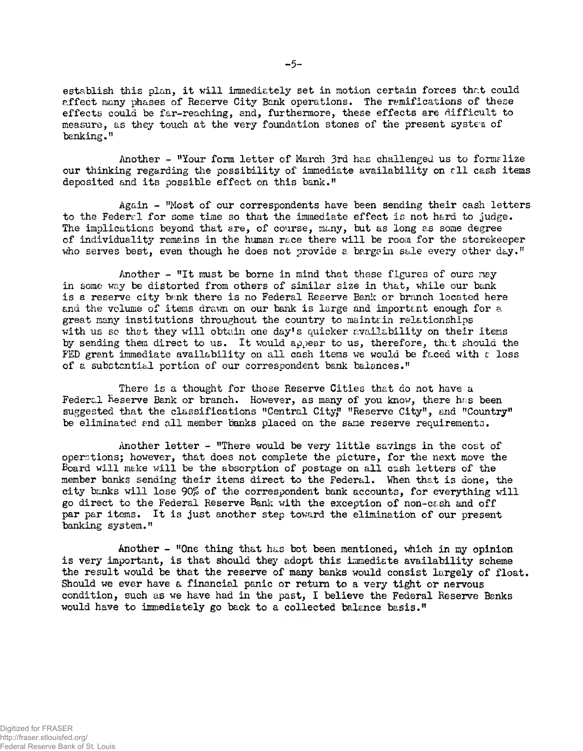establish this plan, it will immediately set in motion certain forces that could **affect many phases of Reserve City Bank operations. The ramifications of these**  effects could be far-reaching, and, furthermore, these effects are difficult to **measure, as they touch at the very foundation stones of the present system of banking."** 

**Another - "Your form letter of March 3rd has challenged us to formalize**  our thinking regarding the possibility of immediate availability on  $\epsilon$ 11 cash items **deposited and it s possible effect on thi s bank."** 

**Again - "Most of our correspondents have been sending their cash letter s to the Federal fo r some time so that the immediate effect i s not h&ra to judge.**  The implications beyond that are, of course, many, but as long as some degree of individuality remains in the human race there will be room for the storekeeper **who serves best, even though he does not provide a bargain sale every other day."** 

Another - "It must be borne in mind that these figures of ours nay **in some way be distorted from others of similar size i n that, while our bank**  is a reserve city bank there is no Federal Reserve Bank or branch located here and the volume of items drawn on our bank is large and important enough for a **great many institutions throughout the country to maintain relationships**  with us so that they will obtain one day's quicker availability on their items **by sending them direct to us. I t would appear to us, therefore, that should the**  FED grant immediate availability on all cash items we would be faced with  $\epsilon$  loss **of a substantial portion of our correspondent bank balances."** 

**There i s a thought for those Reserve Cities that do not have a**  Federal Reserve Bank or branch. However, as many of you know, there has been **suggested that the classifications "Central City," "Reserve City" , and "Country" be eliminated and al l member banks placed on the sane reserve requirements.** 

Another letter - "There would be very little savings in the cost of **operations; however, that does not complete the picture, for the next move the**  Board will make will be the absorption of postage on all cash letters of the **member banks sending their items direct to the Federal. When that i s done, the cit y banks wil l lose 90% of the correspondent bank accounts, for everything wil l go direct to the Federal Reserve Bank with the exception of non-cash and of f**  par par items. It is just another step toward the elimination of our present **banking system."** 

**Another - "One thing that has bot been mentioned, uhich in my opinion i s very important, i s that should they adopt this immediate availabilit y scheme**  the result would be that the reserve of many banks would consist largely of float. Should we ever have a financial panic or return to a very tight or nervous condition, such as we have had in the past, I believe the Federal Reserve Banks **would have to immediately go back to a collected balance basis."**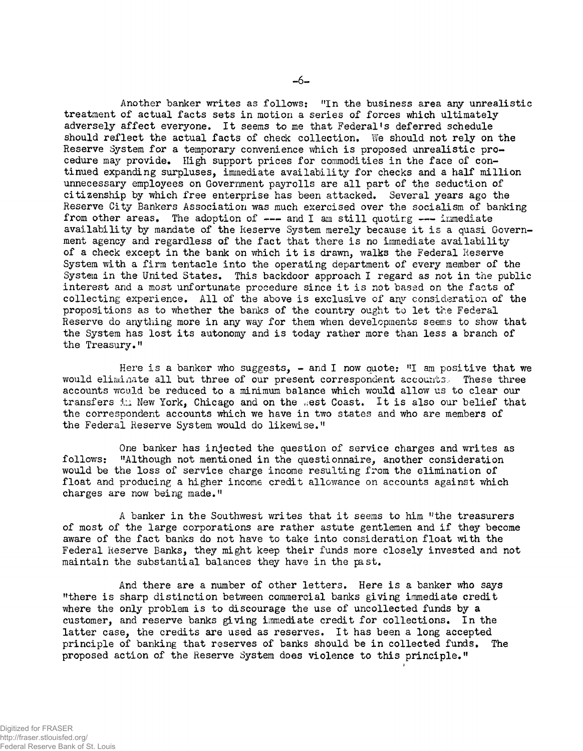Another banker writes as follows: "In the business area any unrealistic treatment of actual facts sets in motion a series of forces which ultimately **adversely affect everyone. I t seems to me that Federal's deferred schedule**  should reflect the actual facts of check collection. We should not rely on the Reserve System for a temporary convenience which is proposed unrealistic procedure may provide. High support prices for commodities in the face of continued expanding surpluses, immediate availability for checks and a half million unnecessary employees on Government payrolls are all part of the seduction of **citizenship by which free enterprise has been attacked. Several years ago the Reserve City Bankers Association was much exercised over the socialism of banking**  from other areas. The adoption of --- and I am still quoting --- immediate availability by mandate of the Reserve System merely because it is a quasi Govern**ment agency and regardless of the fact that there i s no immediate availabilit y of a check except i n the bank on which i t i s drawn, walks the Federal Reserve**  System with a firm tentacle into the operating department of every member of the System in the United States. This backdoor approach I regard as not in the public interest and a most unfortunate procedure since it is not based on the facts of collecting experience. All of the above is exclusive of any consideration of the **propositions as to whether the banks of the country ought to let the Federal Reserve do anything more i n any way for them when developments seems to show that the System has lost it s autonomy and i s today rather more than less a branch of the Treasury.<sup>11</sup>**

Here is a banker who suggests,  $\sim$  and I now quote: "I am positive that we would eliminate all but three of our present correspondent accounts. These three **accounts would be reduced to a minimum balance which would allow us to clear our transfers in New York, Chicago and on the west Coast. It is also our belief that the correspondent accounts which we have i n two states and who are members of the Federal Reserve System would do likewise. "** 

**One banker has injected the question of service charges and writes as**  follows: "Although not mentioned in the questionnaire, another consideration **would be the loss of service charge income resulting from the elimination of float and producing a higher income credit allowance on accounts against which charges are now being made."** 

**A banker i n the Southwest writes that i t seems to him "the treasurers**  of most of the large corporations are rather astute gentlemen and if they become **aware of the fact banks do not have to take into consideration float with the Federal Reserve Banks, they might keep their funds more closely invested and not**  maintain the substantial balances they have in the past.

**And there are a number of other letters. Here i s a banker who says "there i s sharp distinctio n between commercial banks giving immediate credit**  where the only problem is to discourage the use of uncollected funds by a **customer, and reserve banks giving immediate credit for collections. I n the**  latter case, the credits are used as reserves. It has been a long accepted **principle of banking that reserves of banks should be i n collected funds# The proposed action of the Reserve System does violence to thi s principle. "**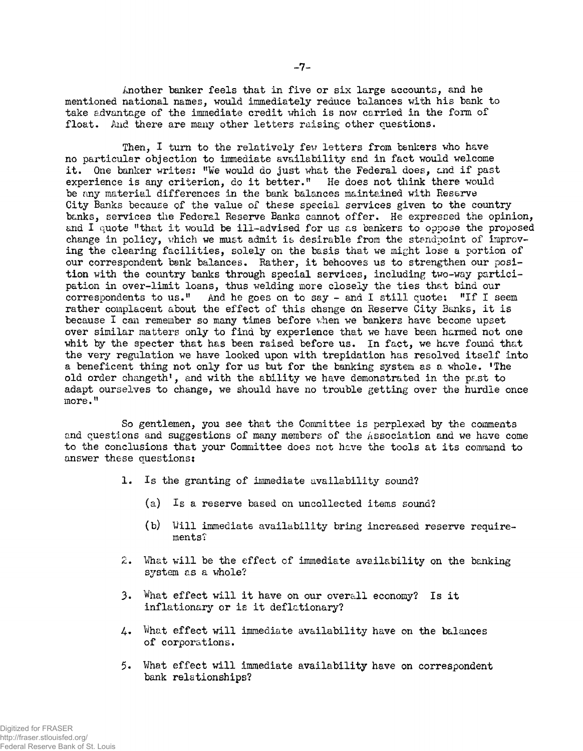**Another banker feels that i n five or six large accounts, and he mentioned national names, would immediately reduce balances with his bank to**  take advantage of the immediate credit which is now carried in the form of **float . And there are many other letter s raising other questions.** 

Then, I turn to the relatively few letters from bankers who have **no particular objection to immediate availabilit y and i n fact would welcome**  it. One banker writes: "We would do just what the Federal does, and if past **experience i s any criterion , do i t better, " He does not think there would be any material differences in the bank balances maintained with Reserve City Banks because of the value of these special services given to the country banks, services the Federal Reserve Banks cannot offer. He expressed the opinion,**  and I quote "that it would be ill-advised for us as bankers to oppose the proposed change in policy, which we must admit is desirable from the standpoint of improv**ing the clearing facilities, solely on the basis that we might lose a portion of**  our correspondent bank balances. Rather, it behooves us to strengthen our posi**tion with the country banks through special services, including two-way partici pation i n over-limit loans, thus welding more closely the ties that bind our**  correspondents to us." And he goes on to say - and I still quote: "If I seem rather complacent about the effect of this change on Reserve City Banks, it is **because I can remember so many times before when we bankers have become upset over similar matters only to find by experience that we have been harmed not one**  whit by the specter that has been raised before us. In fact, we have found that the very regulation we have looked upon with trepidation has resolved itself into a beneficent thing not only for us but for the banking system as a whole. The old order changeth', and with the ability we have demonstrated in the past to **adapt ourselves to change, we should have no trouble getting over the hurdle once more."** 

So gentlemen, you see that the Committee is perplexed by the comments and questions and suggestions of many members of the Association and we have come to the conclusions that your Committee does not have the tools at its command to **answer these questions;** 

- 1. Is the granting of immediate availability sound?
	- **(a) I s a reserve based on uncollected items sound?**
	- **(b) Will immediate availabilit y bring increased reserve requirements?**
- **2. What wil l be the effect of immediate availabilit y on the banking system as a whole?**
- **3. What effect wil l i t have on our overall economy? I s i t inflationar y or i s i t deflationary?**
- **4. What effect wil l immediate availabilit y have on the balances of corporations.**
- **5. What effect wil l immediate availabilit y have on correspondent bank relationships?**